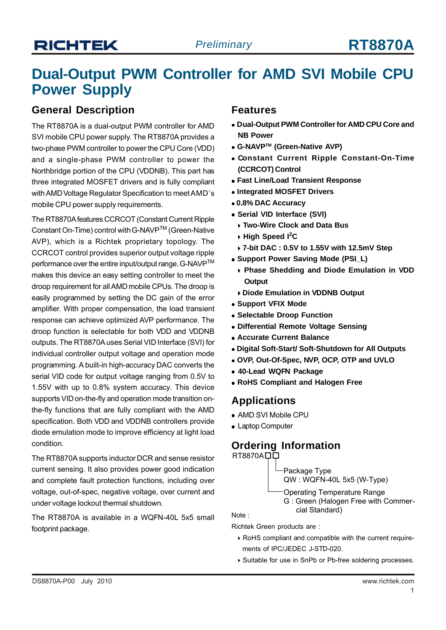# **Dual-Output PWM Controller for AMD SVI Mobile CPU Power Supply**

#### **General Description**

The RT8870A is a dual-output PWM controller for AMD SVI mobile CPU power supply. The RT8870A provides a two-phase PWM controller to power the CPU Core (VDD) and a single-phase PWM controller to power the Northbridge portion of the CPU (VDDNB). This part has three integrated MOSFET drivers and is fully compliant with AMD Voltage Regulator Specification to meet AMD's mobile CPU power supply requirements.

The RT8870A features CCRCOT (Constant Current Ripple Constant On-Time) control with G-NAVPTM (Green-Native AVP), which is a Richtek proprietary topology. The CCRCOT control provides superior output voltage ripple performance over the entire input/output range. G-NAVP™ makes this device an easy setting controller to meet the droop requirement for all AMD mobile CPUs. The droop is easily programmed by setting the DC gain of the error amplifier. With proper compensation, the load transient response can achieve optimized AVP performance. The droop function is selectable for both VDD and VDDNB outputs. The RT8870A uses Serial VID Interface (SVI) for individual controller output voltage and operation mode programming. A built-in high-accuracy DAC converts the serial VID code for output voltage ranging from 0.5V to 1.55V with up to 0.8% system accuracy. This device supports VID on-the-fly and operation mode transition onthe-fly functions that are fully compliant with the AMD specification. Both VDD and VDDNB controllers provide diode emulation mode to improve efficiency at light load condition.

The RT8870A supports inductor DCR and sense resistor current sensing. It also provides power good indication and complete fault protection functions, including over voltage, out-of-spec, negative voltage, over current and under voltage lockout thermal shutdown.

The RT8870A is available in a WQFN-40L 5x5 small footprint package.

#### **Features**

- **Dual-Output PWM Controller for AMD CPU Core and NB Power**
- **G-NAVP™ (Green-Native AVP)**
- <sup>z</sup> **Constant Current Ripple Constant-On-Time (CCRCOT) Control**
- <sup>z</sup> **Fast Line/Load Transient Response**
- **Integrated MOSFET Drivers**
- <sup>z</sup> **0.8% DAC Accuracy**
- <sup>z</sup> **Serial VID Interface (SVI)**
	- ` **Two-Wire Clock and Data Bus**
	- **P** High Speed I<sup>2</sup>C
	- ` **7-bit DAC : 0.5V to 1.55V with 12.5mV Step**
- **Support Power Saving Mode (PSI L)** 
	- ` **Phase Shedding and Diode Emulation in VDD Output**
	- ` **Diode Emulation in VDDNB Output**
- **Support VFIX Mode**
- <sup>z</sup> **Selectable Droop Function**
- <sup>z</sup> **Differential Remote Voltage Sensing**
- <sup>z</sup> **Accurate Current Balance**
- <sup>z</sup> **Digital Soft-Start/ Soft-Shutdown for All Outputs**
- <sup>z</sup> **OVP, Out-Of-Spec, NVP, OCP, OTP and UVLO**
- <sup>z</sup> **40-Lead WQFN Package**
- <sup>z</sup> **RoHS Compliant and Halogen Free**

#### **Applications**

- AMD SVI Mobile CPU
- Laptop Computer

# **Ordering Information**

RT8870ADD

Package Type QW : WQFN-40L 5x5 (W-Type)

Operating Temperature Range

```
G : Green (Halogen Free with Commer-
cial Standard)
```
Note :

Richtek Green products are :

- ` RoHS compliant and compatible with the current require ments of IPC/JEDEC J-STD-020.
- ` Suitable for use in SnPb or Pb-free soldering processes.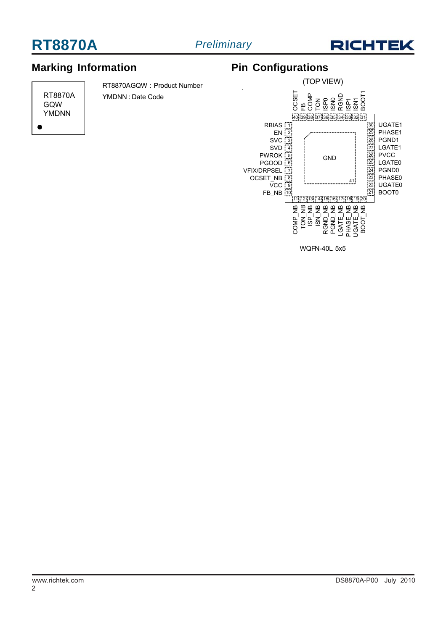



# **Marking Information Configurations** Pin Configurations

GQW YMDNN

RT8870A | YMDNN : Date Code

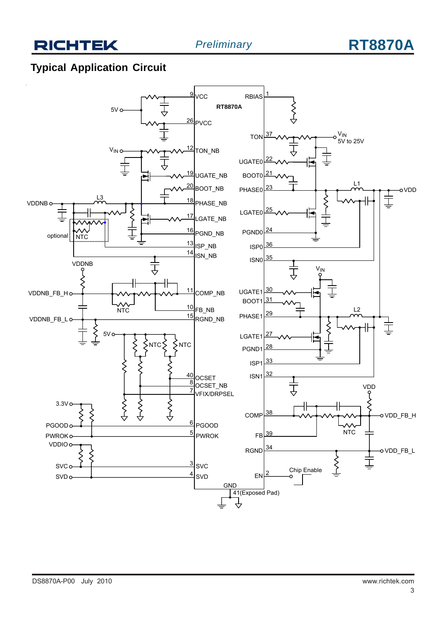# **RICHTEK**

# **RT8870A**

# **Typical Application Circuit**

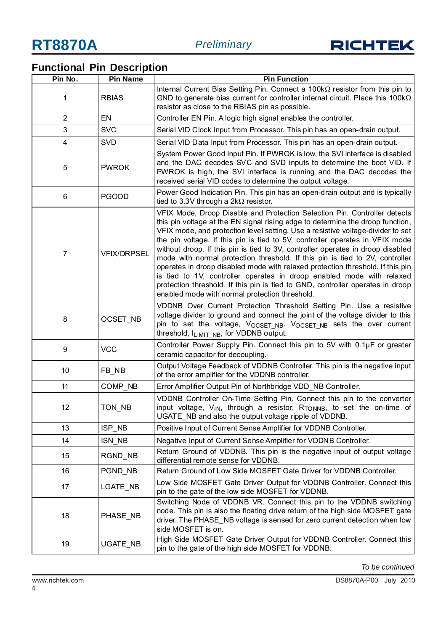

# **Functional Pin Description**

| Pin No.        | <b>Pin Name</b>    | <b>Pin Function</b>                                                                                                                                                                                                                                                                                                                                                                                                                                                                                                                                                                                                                                                                                                                                                                              |
|----------------|--------------------|--------------------------------------------------------------------------------------------------------------------------------------------------------------------------------------------------------------------------------------------------------------------------------------------------------------------------------------------------------------------------------------------------------------------------------------------------------------------------------------------------------------------------------------------------------------------------------------------------------------------------------------------------------------------------------------------------------------------------------------------------------------------------------------------------|
| 1              | <b>RBIAS</b>       | Internal Current Bias Setting Pin. Connect a 100kΩ resistor from this pin to<br>GND to generate bias current for controller internal circuit. Place this 100kΩ<br>resistor as close to the RBIAS pin as possible.                                                                                                                                                                                                                                                                                                                                                                                                                                                                                                                                                                                |
| $\overline{2}$ | EN                 | Controller EN Pin. A logic high signal enables the controller.                                                                                                                                                                                                                                                                                                                                                                                                                                                                                                                                                                                                                                                                                                                                   |
| 3              | <b>SVC</b>         | Serial VID Clock Input from Processor. This pin has an open-drain output.                                                                                                                                                                                                                                                                                                                                                                                                                                                                                                                                                                                                                                                                                                                        |
| 4              | <b>SVD</b>         | Serial VID Data Input from Processor. This pin has an open-drain output.                                                                                                                                                                                                                                                                                                                                                                                                                                                                                                                                                                                                                                                                                                                         |
| 5              | <b>PWROK</b>       | System Power Good Input Pin. If PWROK is low, the SVI interface is disabled<br>and the DAC decodes SVC and SVD inputs to determine the boot VID. If<br>PWROK is high, the SVI interface is running and the DAC decodes the<br>received serial VID codes to determine the output voltage.                                                                                                                                                                                                                                                                                                                                                                                                                                                                                                         |
| 6              | <b>PGOOD</b>       | Power Good Indication Pin. This pin has an open-drain output and is typically<br>tied to 3.3V through a $2k\Omega$ resistor.                                                                                                                                                                                                                                                                                                                                                                                                                                                                                                                                                                                                                                                                     |
| 7              | <b>VFIX/DRPSEL</b> | VFIX Mode, Droop Disable and Protection Selection Pin. Controller detects<br>this pin voltage at the EN signal rising edge to determine the droop function,<br>VFIX mode, and protection level setting. Use a resistive voltage-divider to set<br>the pin voltage. If this pin is tied to 5V, controller operates in VFIX mode<br>without droop. If this pin is tied to 3V, controller operates in droop disabled<br>mode with normal protection threshold. If this pin is tied to 2V, controller<br>operates in droop disabled mode with relaxed protection threshold. If this pin<br>is tied to 1V, controller operates in droop enabled mode with relaxed<br>protection threshold. If this pin is tied to GND, controller operates in droop<br>enabled mode with normal protection threshold. |
| 8              | OCSET_NB           | VDDNB Over Current Protection Threshold Setting Pin. Use a resistive<br>voltage divider to ground and connect the joint of the voltage divider to this<br>pin to set the voltage, V <sub>OCSET NB</sub> . V <sub>OCSET NB</sub> sets the over current<br>threshold, ILIMIT NB, for VDDNB output.                                                                                                                                                                                                                                                                                                                                                                                                                                                                                                 |
| 9              | <b>VCC</b>         | Controller Power Supply Pin. Connect this pin to 5V with 0.1µF or greater<br>ceramic capacitor for decoupling.                                                                                                                                                                                                                                                                                                                                                                                                                                                                                                                                                                                                                                                                                   |
| 10             | FB_NB              | Output Voltage Feedback of VDDNB Controller. This pin is the negative input<br>of the error amplifier for the VDDNB controller.                                                                                                                                                                                                                                                                                                                                                                                                                                                                                                                                                                                                                                                                  |
| 11             | COMP_NB            | Error Amplifier Output Pin of Northbridge VDD_NB Controller.                                                                                                                                                                                                                                                                                                                                                                                                                                                                                                                                                                                                                                                                                                                                     |
| 12             | TON_NB             | VDDNB Controller On-Time Setting Pin. Connect this pin to the converter<br>input voltage, VIN, through a resistor, R <sub>TONNB</sub> , to set the on-time of<br>UGATE_NB and also the output voltage ripple of VDDNB.                                                                                                                                                                                                                                                                                                                                                                                                                                                                                                                                                                           |
| 13             | ISP_NB             | Positive Input of Current Sense Amplifier for VDDNB Controller.                                                                                                                                                                                                                                                                                                                                                                                                                                                                                                                                                                                                                                                                                                                                  |
| 14             | ISN_NB             | Negative Input of Current Sense Amplifier for VDDNB Controller.                                                                                                                                                                                                                                                                                                                                                                                                                                                                                                                                                                                                                                                                                                                                  |
| 15             | RGND_NB            | Return Ground of VDDNB. This pin is the negative input of output voltage<br>differential remote sense for VDDNB.                                                                                                                                                                                                                                                                                                                                                                                                                                                                                                                                                                                                                                                                                 |
| 16             | PGND NB            | Return Ground of Low Side MOSFET Gate Driver for VDDNB Controller.                                                                                                                                                                                                                                                                                                                                                                                                                                                                                                                                                                                                                                                                                                                               |
| 17             | LGATE_NB           | Low Side MOSFET Gate Driver Output for VDDNB Controller. Connect this<br>pin to the gate of the low side MOSFET for VDDNB.                                                                                                                                                                                                                                                                                                                                                                                                                                                                                                                                                                                                                                                                       |
| 18             | PHASE_NB           | Switching Node of VDDNB VR. Connect this pin to the VDDNB switching<br>node. This pin is also the floating drive return of the high side MOSFET gate<br>driver. The PHASE_NB voltage is sensed for zero current detection when low<br>side MOSFET is on.                                                                                                                                                                                                                                                                                                                                                                                                                                                                                                                                         |
| 19             | UGATE_NB           | High Side MOSFET Gate Driver Output for VDDNB Controller. Connect this<br>pin to the gate of the high side MOSFET for VDDNB.                                                                                                                                                                                                                                                                                                                                                                                                                                                                                                                                                                                                                                                                     |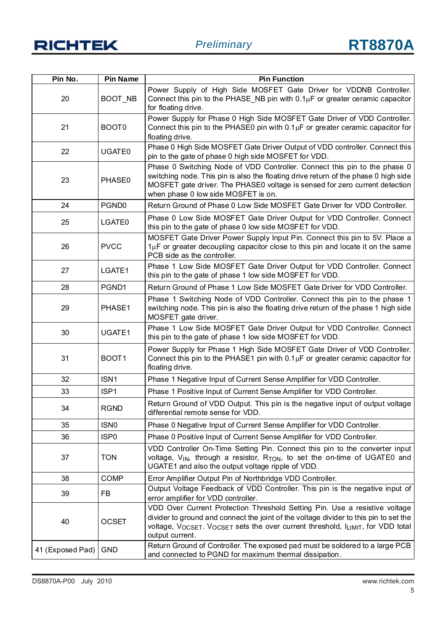

| Pin No.          | <b>Pin Name</b>   | <b>Pin Function</b>                                                                                                                                                                                                                                                                    |  |  |
|------------------|-------------------|----------------------------------------------------------------------------------------------------------------------------------------------------------------------------------------------------------------------------------------------------------------------------------------|--|--|
| 20               | BOOT_NB           | Power Supply of High Side MOSFET Gate Driver for VDDNB Controller.<br>Connect this pin to the PHASE NB pin with $0.1\mu$ F or greater ceramic capacitor<br>for floating drive.                                                                                                         |  |  |
| 21               | BOOT0             | Power Supply for Phase 0 High Side MOSFET Gate Driver of VDD Controller.<br>Connect this pin to the PHASE0 pin with $0.1\mu$ F or greater ceramic capacitor for<br>floating drive.                                                                                                     |  |  |
| 22               | UGATE0            | Phase 0 High Side MOSFET Gate Driver Output of VDD controller. Connect this<br>pin to the gate of phase 0 high side MOSFET for VDD.                                                                                                                                                    |  |  |
| 23               | PHASE0            | Phase 0 Switching Node of VDD Controller. Connect this pin to the phase 0<br>switching node. This pin is also the floating drive return of the phase 0 high side<br>MOSFET gate driver. The PHASE0 voltage is sensed for zero current detection<br>when phase 0 low side MOSFET is on. |  |  |
| 24               | PGND <sub>0</sub> | Return Ground of Phase 0 Low Side MOSFET Gate Driver for VDD Controller.                                                                                                                                                                                                               |  |  |
| 25               | LGATE0            | Phase 0 Low Side MOSFET Gate Driver Output for VDD Controller. Connect<br>this pin to the gate of phase 0 low side MOSFET for VDD.                                                                                                                                                     |  |  |
| 26               | <b>PVCC</b>       | MOSFET Gate Driver Power Supply Input Pin. Connect this pin to 5V. Place a<br>$1\mu$ F or greater decoupling capacitor close to this pin and locate it on the same<br>PCB side as the controller.                                                                                      |  |  |
| 27               | LGATE1            | Phase 1 Low Side MOSFET Gate Driver Output for VDD Controller. Connect<br>this pin to the gate of phase 1 low side MOSFET for VDD.                                                                                                                                                     |  |  |
| 28               | PGND1             | Return Ground of Phase 1 Low Side MOSFET Gate Driver for VDD Controller.                                                                                                                                                                                                               |  |  |
| 29               | PHASE1            | Phase 1 Switching Node of VDD Controller. Connect this pin to the phase 1<br>switching node. This pin is also the floating drive return of the phase 1 high side<br>MOSFET gate driver.                                                                                                |  |  |
| 30               | UGATE1            | Phase 1 Low Side MOSFET Gate Driver Output for VDD Controller. Connect<br>this pin to the gate of phase 1 low side MOSFET for VDD.                                                                                                                                                     |  |  |
| 31               | BOOT <sub>1</sub> | Power Supply for Phase 1 High Side MOSFET Gate Driver of VDD Controller.<br>Connect this pin to the PHASE1 pin with $0.1\mu$ F or greater ceramic capacitor for<br>floating drive.                                                                                                     |  |  |
| 32               | ISN1              | Phase 1 Negative Input of Current Sense Amplifier for VDD Controller.                                                                                                                                                                                                                  |  |  |
| 33               | ISP <sub>1</sub>  | Phase 1 Positive Input of Current Sense Amplifier for VDD Controller.                                                                                                                                                                                                                  |  |  |
| 34               | <b>RGND</b>       | Return Ground of VDD Output. This pin is the negative input of output voltage<br>differential remote sense for VDD.                                                                                                                                                                    |  |  |
| 35               | ISN <sub>0</sub>  | Phase 0 Negative Input of Current Sense Amplifier for VDD Controller.                                                                                                                                                                                                                  |  |  |
| 36               | ISP <sub>0</sub>  | Phase 0 Positive Input of Current Sense Amplifier for VDD Controller.                                                                                                                                                                                                                  |  |  |
| 37               | <b>TON</b>        | VDD Controller On-Time Setting Pin. Connect this pin to the converter input<br>voltage, V <sub>IN</sub> , through a resistor, R <sub>TON</sub> , to set the on-time of UGATE0 and<br>UGATE1 and also the output voltage ripple of VDD.                                                 |  |  |
| 38               | <b>COMP</b>       | Error Amplifier Output Pin of Northbridge VDD Controller.                                                                                                                                                                                                                              |  |  |
| 39               | FB                | Output Voltage Feedback of VDD Controller. This pin is the negative input of<br>error amplifier for VDD controller.                                                                                                                                                                    |  |  |
| 40               | <b>OCSET</b>      | VDD Over Current Protection Threshold Setting Pin. Use a resistive voltage<br>divider to ground and connect the joint of the voltage divider to this pin to set the<br>Voltage, VOCSET. VOCSET sets the over current threshold, ILIMIT, for VDD total<br>output current.               |  |  |
| 41 (Exposed Pad) | <b>GND</b>        | Return Ground of Controller. The exposed pad must be soldered to a large PCB<br>and connected to PGND for maximum thermal dissipation.                                                                                                                                                 |  |  |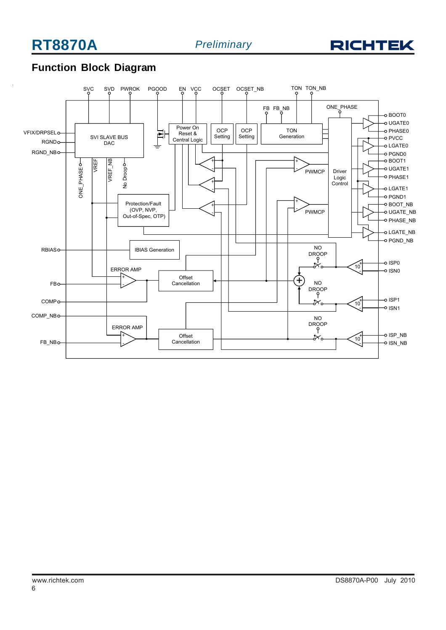*Preliminary*



# **Function Block Diagram**

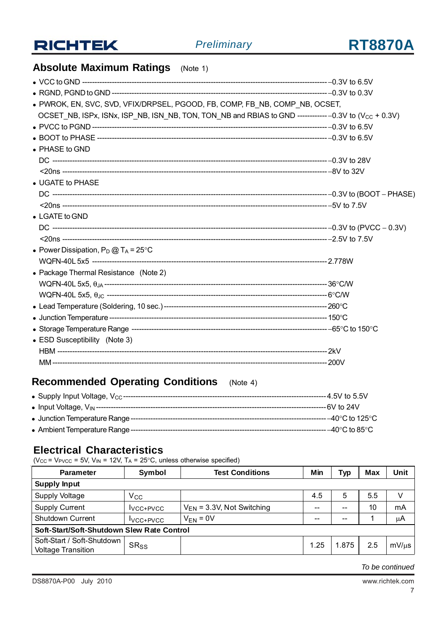

## **Absolute Maximum Ratings** (Note 1)

| · PWROK, EN, SVC, SVD, VFIX/DRPSEL, PGOOD, FB, COMP, FB_NB, COMP_NB, OCSET,                                      |  |
|------------------------------------------------------------------------------------------------------------------|--|
| OCSET_NB, ISPx, ISNx, ISP_NB, ISN_NB, TON, TON_NB and RBIAS to GND -------------0.3V to (V <sub>CC</sub> + 0.3V) |  |
|                                                                                                                  |  |
|                                                                                                                  |  |
| • PHASE to GND                                                                                                   |  |
|                                                                                                                  |  |
|                                                                                                                  |  |
| • UGATE to PHASE                                                                                                 |  |
|                                                                                                                  |  |
|                                                                                                                  |  |
| $\bullet$ LGATE to GND                                                                                           |  |
|                                                                                                                  |  |
|                                                                                                                  |  |
| • Power Dissipation, $P_D @ T_A = 25^{\circ}C$                                                                   |  |
|                                                                                                                  |  |
| • Package Thermal Resistance (Note 2)                                                                            |  |
|                                                                                                                  |  |
|                                                                                                                  |  |
|                                                                                                                  |  |
|                                                                                                                  |  |
|                                                                                                                  |  |
| • ESD Susceptibility (Note 3)                                                                                    |  |
|                                                                                                                  |  |
|                                                                                                                  |  |

## **Recommended Operating Conditions** (Note 4)

| ---- 4.5V to 5.5V |
|-------------------|
| ---6V to 24V      |
| -- –40°C to 125°C |
| ––40°C to 85°C    |
|                   |

#### **Electrical Characteristics**

( $V_{CC}$  = V<sub>PVCC</sub> = 5V, V<sub>IN</sub> = 12V, T<sub>A</sub> = 25°C, unless otherwise specified)

| <b>Parameter</b>                           | Symbol           | <b>Test Conditions</b>         | Min   | <b>Typ</b> | Max | Unit  |
|--------------------------------------------|------------------|--------------------------------|-------|------------|-----|-------|
| <b>Supply Input</b>                        |                  |                                |       |            |     |       |
| <b>Supply Voltage</b>                      | $V_{\rm CC}$     |                                | 4.5   | 5          | 5.5 | V     |
| <b>Supply Current</b>                      | IVCC+PVCC        | $V_{FN}$ = 3.3V, Not Switching | $- -$ |            | 10  | mA    |
| Shutdown Current                           | <b>IVCC+PVCC</b> | $V_{EN} = 0V$                  | $- -$ |            |     | μA    |
| Soft-Start/Soft-Shutdown Slew Rate Control |                  |                                |       |            |     |       |
| Soft-Start / Soft-Shutdown                 | $SR_{SS}$        |                                | 1.25  | 1.875      | 2.5 | mV/us |
| <b>Voltage Transition</b>                  |                  |                                |       |            |     |       |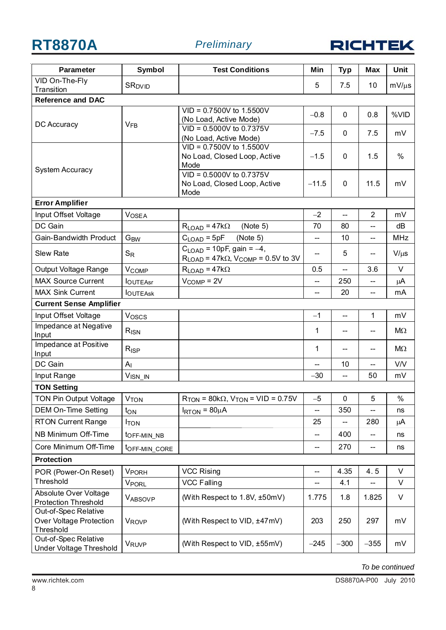



| <b>Parameter</b>                                | Symbol                   | <b>Test Conditions</b>                                            | Min     | <b>Typ</b>               | <b>Max</b>     | <b>Unit</b>   |
|-------------------------------------------------|--------------------------|-------------------------------------------------------------------|---------|--------------------------|----------------|---------------|
| VID On-The-Fly                                  | <b>SR<sub>DVID</sub></b> |                                                                   | 5       | 7.5                      | 10             | $mV/\mu s$    |
| Transition<br><b>Reference and DAC</b>          |                          |                                                                   |         |                          |                |               |
|                                                 |                          | $VID = 0.7500V$ to 1.5500V                                        |         |                          |                |               |
|                                                 |                          | (No Load, Active Mode)                                            | $-0.8$  | $\mathbf{0}$             | 0.8            | %VID          |
| DC Accuracy                                     | V <sub>FB</sub>          | $VID = 0.5000V$ to 0.7375V                                        |         |                          |                |               |
|                                                 |                          | (No Load, Active Mode)                                            | $-7.5$  | $\mathbf{0}$             | 7.5            | mV            |
|                                                 |                          | $VID = 0.7500V$ to 1.5500V                                        |         |                          |                |               |
|                                                 |                          | No Load, Closed Loop, Active                                      | $-1.5$  | $\mathbf{0}$             | 1.5            | $\frac{0}{0}$ |
| System Accuracy                                 |                          | Mode<br>$VID = 0.5000V$ to 0.7375V                                |         |                          |                |               |
|                                                 |                          | No Load, Closed Loop, Active                                      | $-11.5$ | 0                        | 11.5           | mV            |
|                                                 |                          | Mode                                                              |         |                          |                |               |
| <b>Error Amplifier</b>                          |                          |                                                                   |         |                          |                |               |
| Input Offset Voltage                            | <b>VOSEA</b>             |                                                                   | $-2$    | $\overline{\phantom{a}}$ | $\overline{2}$ | mV            |
| DC Gain                                         |                          | (Note 5)<br>$R_{LOAD} = 47k\Omega$                                | 70      | 80                       | $-$            | dB            |
| Gain-Bandwidth Product                          | G <sub>BW</sub>          | (Note 5)<br>$C_{LOAD} = 5pF$                                      | $-$     | 10                       | --             | <b>MHz</b>    |
|                                                 |                          | $C_{\text{LOAD}}$ = 10pF, gain = -4,                              |         |                          |                |               |
| <b>Slew Rate</b>                                | $S_{R}$                  | $R_{\text{LOAD}}$ = 47k $\Omega$ , V <sub>COMP</sub> = 0.5V to 3V | --      | 5                        | --             | $V/\mu s$     |
| Output Voltage Range                            | V <sub>COMP</sub>        | $R_{LOAD} = 47k\Omega$                                            | 0.5     | Ξ.                       | 3.6            | $\vee$        |
| <b>MAX Source Current</b>                       | <b>IOUTEASr</b>          | $V_{COMP} = 2V$                                                   | --      | 250                      | $-$            | μA            |
| <b>MAX Sink Current</b>                         | <b>loutEAsk</b>          |                                                                   | --      | 20                       | $-$            | mA            |
| <b>Current Sense Amplifier</b>                  |                          |                                                                   |         |                          |                |               |
| Input Offset Voltage                            | Voscs                    |                                                                   | $-1$    | $\overline{\phantom{a}}$ | 1              | mV            |
| Impedance at Negative<br>Input                  | $R_{\rm ISN}$            |                                                                   | 1       | $-$                      | --             | $M\Omega$     |
| Impedance at Positive<br>Input                  | $R_{\text{ISP}}$         |                                                                   | 1       | $-$                      | $-$            | $M\Omega$     |
| DC Gain                                         | A <sub>l</sub>           |                                                                   | --      | 10                       | --             | <b>V/V</b>    |
| Input Range                                     | VISN IN                  |                                                                   | $-30$   | $-$                      | 50             | mV            |
| <b>TON Setting</b>                              |                          |                                                                   |         |                          |                |               |
| <b>TON Pin Output Voltage</b>                   | <b>VTON</b>              | $R_{\text{TON}}$ = 80k $\Omega$ , $V_{\text{TON}}$ = VID = 0.75V  | $-5$    | $\mathbf 0$              | 5              | %             |
| <b>DEM On-Time Setting</b>                      | $t_{ON}$                 | $I_{\text{RTON}} = 80 \mu A$                                      | --      | 350                      |                | ns            |
| <b>RTON Current Range</b>                       | <b>ITON</b>              |                                                                   | 25      | --                       | 280            | μA            |
| NB Minimum Off-Time                             | toff-MIN_NB              |                                                                   | --      | 400                      | $-$            | ns            |
| Core Minimum Off-Time                           | tOFF-MIN_CORE            |                                                                   | --      | 270                      | $-$            | ns            |
| <b>Protection</b>                               |                          |                                                                   |         |                          |                |               |
| POR (Power-On Reset)                            | <b>VPORH</b>             | <b>VCC Rising</b>                                                 | --      | 4.35                     | 4.5            | V             |
| Threshold                                       | <b>VPORL</b>             | <b>VCC Falling</b>                                                | $-$     | 4.1                      | $\overline{a}$ | V             |
| Absolute Over Voltage                           |                          | (With Respect to 1.8V, ±50mV)                                     | 1.775   | 1.8                      | 1.825          | V             |
| <b>Protection Threshold</b>                     | VABSOVP                  |                                                                   |         |                          |                |               |
| Out-of-Spec Relative<br>Over Voltage Protection | VROVP                    | (With Respect to VID, ±47mV)                                      | 203     | 250                      | 297            | mV            |
| Threshold<br>Out-of-Spec Relative               |                          |                                                                   |         |                          |                |               |
| Under Voltage Threshold                         | VRUVP                    | (With Respect to VID, ±55mV)                                      | $-245$  | $-300$                   | $-355$         | mV            |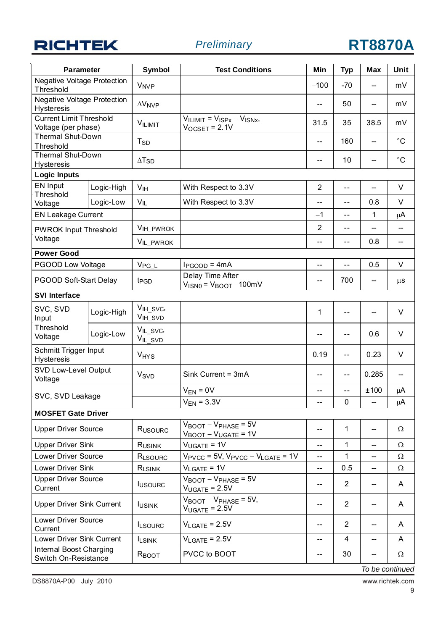



| <b>Parameter</b>                                      |            | Symbol                          | <b>Test Conditions</b>                                                                 | Min            | <b>Typ</b>     | <b>Max</b>               | Unit         |
|-------------------------------------------------------|------------|---------------------------------|----------------------------------------------------------------------------------------|----------------|----------------|--------------------------|--------------|
| <b>Negative Voltage Protection</b><br>Threshold       |            | <b>V<sub>NVP</sub></b>          |                                                                                        | $-100$         | $-70$          | $-$                      | mV           |
| <b>Negative Voltage Protection</b><br>Hysteresis      |            | $\Delta V_{NVP}$                |                                                                                        | --             | 50             | $\overline{\phantom{a}}$ | mV           |
| <b>Current Limit Threshold</b><br>Voltage (per phase) |            | V <sub>ILIMIT</sub>             | $V_{\text{ILIMIT}} = V_{\text{ISPx}} - V_{\text{ISNx}}$<br>$V_{OCSET}$ = 2.1V          | 31.5           | 35             | 38.5                     | mV           |
| Thermal Shut-Down<br>Threshold                        |            | $T_{SD}$                        |                                                                                        | --             | 160            | --                       | $^{\circ}$ C |
| Thermal Shut-Down<br>Hysteresis                       |            | $\Delta$ T <sub>SD</sub>        |                                                                                        | --             | 10             | --                       | $^{\circ}$ C |
| <b>Logic Inputs</b>                                   |            |                                 |                                                                                        |                |                |                          |              |
| EN Input<br>Threshold                                 | Logic-High | V <sub>IH</sub>                 | With Respect to 3.3V                                                                   | $\overline{2}$ | --             | --                       | V            |
| Voltage                                               | Logic-Low  | $V_{IL}$                        | With Respect to 3.3V                                                                   | --             | $-1$           | 0.8                      | V            |
| <b>EN Leakage Current</b>                             |            |                                 |                                                                                        | $-1$           | $-$            | 1                        | μA           |
| <b>PWROK Input Threshold</b>                          |            | VIH PWROK                       |                                                                                        | $\overline{2}$ | $- -$          | --                       | $-$          |
| Voltage                                               |            | <b>VIL PWROK</b>                |                                                                                        | --             | --             | 0.8                      | --           |
| <b>Power Good</b>                                     |            |                                 |                                                                                        |                |                |                          |              |
| PGOOD Low Voltage                                     |            | $V_{PG\_L}$                     | $I_{PGOOD} = 4mA$                                                                      | --             | --             | 0.5                      | V            |
| PGOOD Soft-Start Delay                                |            | t <sub>PGD</sub>                | Delay Time After<br>$V_{ISNO} = V_{BOOT} - 100mV$                                      | --             | 700            |                          | $\mu$ S      |
| <b>SVI Interface</b>                                  |            |                                 |                                                                                        |                |                |                          |              |
| SVC, SVD<br>Input                                     | Logic-High | VIH_SVC,<br>V <sub>IH_SVD</sub> |                                                                                        | 1              | --             | $-$                      | V            |
| Threshold<br>Voltage                                  | Logic-Low  | VIL_SVC,<br>V <sub>IL_SVD</sub> |                                                                                        |                | --             | 0.6                      | V            |
| Schmitt Trigger Input<br>Hysteresis                   |            | <b>V<sub>HYS</sub></b>          |                                                                                        | 0.19           | $-$            | 0.23                     | $\vee$       |
| SVD Low-Level Output<br>Voltage                       |            | <b>V<sub>SVD</sub></b>          | Sink Current = 3mA                                                                     | $-$            | --             | 0.285                    | $-$          |
| SVC, SVD Leakage                                      |            |                                 | $V_{EN} = 0V$                                                                          | --             | $-$            | ±100                     | $\mu$ A      |
|                                                       |            |                                 | $V_{EN} = 3.3V$                                                                        | --             | 0              |                          | μA           |
| <b>MOSFET Gate Driver</b>                             |            |                                 |                                                                                        |                |                |                          |              |
| <b>Upper Driver Source</b>                            |            | R <sub>USOURC</sub>             | $V_{\text{BOOT}} - V_{\text{PHASE}} = 5V$<br>$V_{\text{BOOT}} - V_{\text{UGATE}} = 1V$ | --             | 1              |                          | $\Omega$     |
| <b>Upper Driver Sink</b>                              |            | RUSINK                          | $V_{UGATE} = 1V$                                                                       | --             | $\mathbf{1}$   |                          | Ω            |
| Lower Driver Source                                   |            | R <sub>LSOURC</sub>             | $V_{\text{PVCC}}$ = 5V, $V_{\text{PVCC}} - V_{\text{LGATE}}$ = 1V                      | --             | 1              |                          | Ω            |
| Lower Driver Sink                                     |            | RLSINK                          | $V_{LGATE} = 1V$                                                                       | --             | 0.5            |                          | Ω            |
| <b>Upper Driver Source</b><br>Current                 |            | <b>IUSOURC</b>                  | $V_{\text{BOOT}} - V_{\text{PHASE}} = 5V$<br>$V_{UGATE} = 2.5V$                        | --             | $\overline{2}$ |                          | A            |
| <b>Upper Driver Sink Current</b>                      |            | <b>IUSINK</b>                   | $V_{\text{BOOT}} - V_{\text{PHASE}} = 5V$ ,<br>$V_{UGATE}$ = 2.5V                      |                | $\overline{2}$ |                          | A            |
| Lower Driver Source<br>Current                        |            | <b>ILSOURC</b>                  | $V_{LGATE} = 2.5V$                                                                     | --             | $\overline{2}$ |                          | A            |
| Lower Driver Sink Current                             |            | <b>ILSINK</b>                   | $V_{\text{LGATE}}$ = 2.5V                                                              |                | $\overline{4}$ |                          | A            |
| Internal Boost Charging<br>Switch On-Resistance       |            | $R_{\text{BOOT}}$               | PVCC to BOOT                                                                           |                | 30             |                          | $\Omega$     |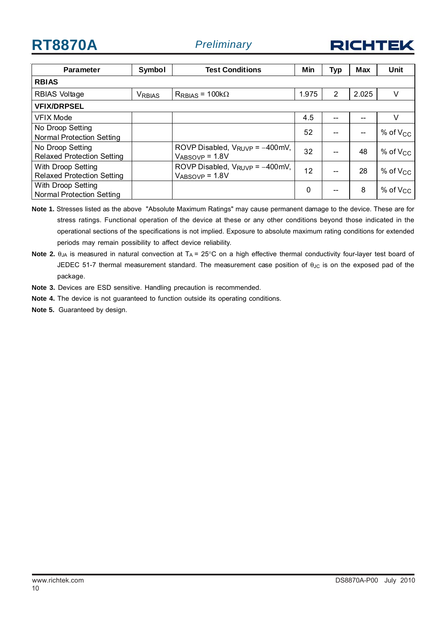**RT8870A**

*Preliminary*



| <b>Parameter</b>                                        | Symbol        | <b>Test Conditions</b>                                                            | Min   | <b>Typ</b> | <b>Max</b> | Unit                 |
|---------------------------------------------------------|---------------|-----------------------------------------------------------------------------------|-------|------------|------------|----------------------|
| <b>RBIAS</b>                                            |               |                                                                                   |       |            |            |                      |
| <b>RBIAS Voltage</b>                                    | <b>VRBIAS</b> | $R_{RBIAS} = 100k\Omega$                                                          | 1.975 | 2          | 2.025      | v                    |
| <b>VFIX/DRPSEL</b>                                      |               |                                                                                   |       |            |            |                      |
| <b>VFIX Mode</b>                                        |               |                                                                                   | 4.5   | $- -$      | --         | v                    |
| No Droop Setting<br><b>Normal Protection Setting</b>    |               |                                                                                   | 52    | --         | --         | % of $V_{CC}$        |
| No Droop Setting<br><b>Relaxed Protection Setting</b>   |               | ROVP Disabled, $V_{\text{RUVP}} = -400 \text{mV}$ ,<br>$V_{\text{ABSOVP}}$ = 1.8V | 32    | --         | 48         | % of V <sub>CC</sub> |
| With Droop Setting<br><b>Relaxed Protection Setting</b> |               | ROVP Disabled, $V_{\text{RUVP}} = -400 \text{mV}$ ,<br>$V_{\text{ABSOVP}} = 1.8V$ | 12    | --         | 28         | $\%$ of $\rm V_{CC}$ |
| With Droop Setting<br>Normal Protection Setting         |               |                                                                                   | 0     | --         | 8          | % of V <sub>CC</sub> |

**Note 1.** Stresses listed as the above "Absolute Maximum Ratings" may cause permanent damage to the device. These are for stress ratings. Functional operation of the device at these or any other conditions beyond those indicated in the operational sections of the specifications is not implied. Exposure to absolute maximum rating conditions for extended periods may remain possibility to affect device reliability.

- **Note 2.**  $\theta_{JA}$  is measured in natural convection at  $T_A = 25^\circ \text{C}$  on a high effective thermal conductivity four-layer test board of JEDEC 51-7 thermal measurement standard. The measurement case position of θ<sub>JC</sub> is on the exposed pad of the package.
- **Note 3.** Devices are ESD sensitive. Handling precaution is recommended.
- **Note 4.** The device is not guaranteed to function outside its operating conditions.
- **Note 5.** Guaranteed by design.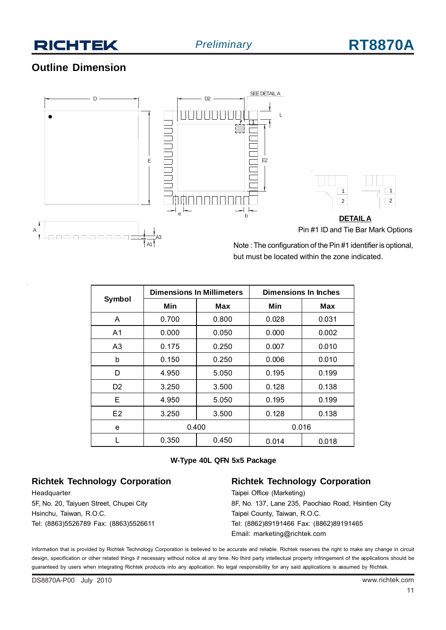# **RICHTEK**

### **Outline Dimension**



Note : The configuration of the Pin #1 identifier is optional, but must be located within the zone indicated.

|                |       | <b>Dimensions In Millimeters</b> | <b>Dimensions In Inches</b> |       |  |
|----------------|-------|----------------------------------|-----------------------------|-------|--|
| Symbol         | Min   | Max                              | Min                         | Max   |  |
| A              | 0.700 | 0.800                            | 0.028                       | 0.031 |  |
| A1             | 0.000 | 0.050                            | 0.000                       | 0.002 |  |
| A <sub>3</sub> | 0.175 | 0.250                            | 0.007                       | 0.010 |  |
| b              | 0.150 | 0.250                            | 0.006                       | 0.010 |  |
| D              | 4.950 | 5.050                            | 0.195                       | 0.199 |  |
| D2             | 3.250 | 3.500                            | 0.128                       | 0.138 |  |
| Е              | 4.950 | 5.050                            | 0.195                       | 0.199 |  |
| E2             | 3.250 | 3.500                            | 0.128                       | 0.138 |  |
| e              | 0.400 |                                  |                             | 0.016 |  |
|                | 0.350 | 0.450                            | 0.014                       | 0.018 |  |

**W-Type 40L QFN 5x5 Package**

#### **Richtek Technology Corporation**

Headquarter 5F, No. 20, Taiyuen Street, Chupei City Hsinchu, Taiwan, R.O.C. Tel: (8863)5526789 Fax: (8863)5526611

#### **Richtek Technology Corporation**

Taipei Office (Marketing) 8F, No. 137, Lane 235, Paochiao Road, Hsintien City Taipei County, Taiwan, R.O.C. Tel: (8862)89191466 Fax: (8862)89191465 Email: marketing@richtek.com

Information that is provided by Richtek Technology Corporation is believed to be accurate and reliable. Richtek reserves the right to make any change in circuit design, specification or other related things if necessary without notice at any time. No third party intellectual property infringement of the applications should be guaranteed by users when integrating Richtek products into any application. No legal responsibility for any said applications is assumed by Richtek.